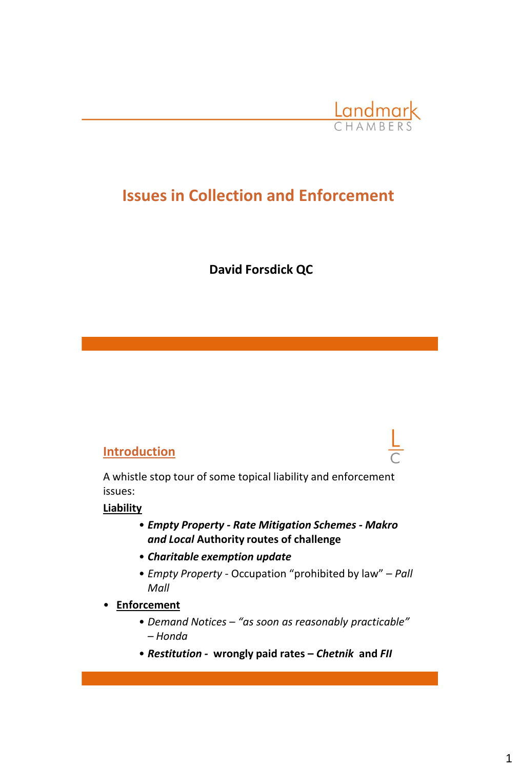

# **Issues in Collection and Enforcement**

**David Forsdick QC**

#### **Introduction**

A whistle stop tour of some topical liability and enforcement issues:

#### **Liability**

- *Empty Property - Rate Mitigation Schemes - Makro and Local* **Authority routes of challenge**
- *Charitable exemption update*
- *Empty Property*  Occupation "prohibited by law" *Pall Mall*
- **Enforcement**
	- *Demand Notices – "as soon as reasonably practicable" – Honda*
	- *Restitution -* **wrongly paid rates –** *Chetnik* **and** *FII*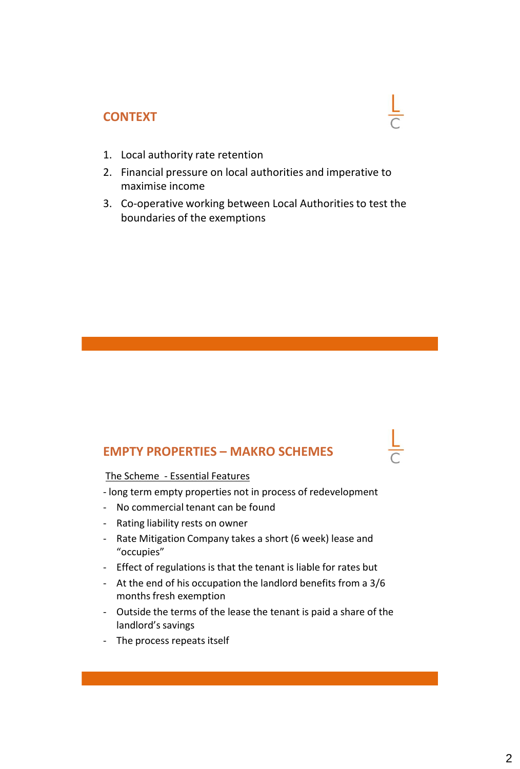### **CONTEXT**

- 1. Local authority rate retention
- 2. Financial pressure on local authorities and imperative to maximise income
- 3. Co-operative working between Local Authorities to test the boundaries of the exemptions

#### **EMPTY PROPERTIES – MAKRO SCHEMES**

#### The Scheme - Essential Features

- long term empty properties not in process of redevelopment
- No commercial tenant can be found
- Rating liability rests on owner
- Rate Mitigation Company takes a short (6 week) lease and "occupies"
- Effect of regulations is that the tenant is liable for rates but
- At the end of his occupation the landlord benefits from a 3/6 months fresh exemption
- Outside the terms of the lease the tenant is paid a share of the landlord's savings
- The process repeats itself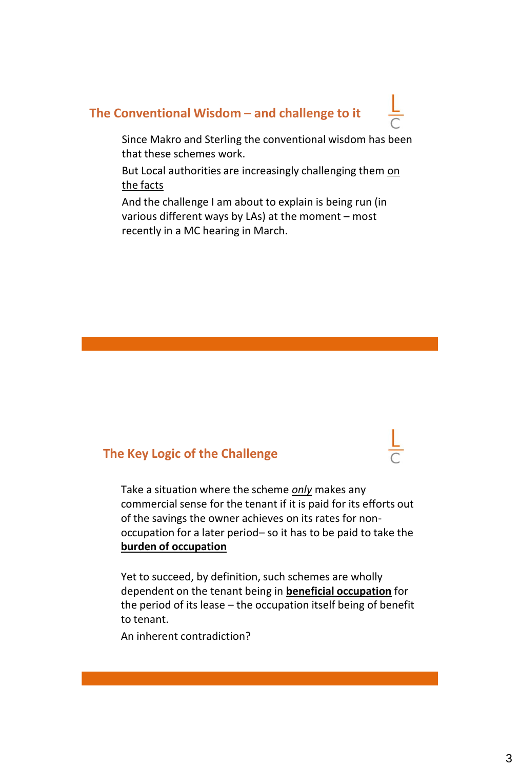# **The Conventional Wisdom – and challenge to it**

Since Makro and Sterling the conventional wisdom has been that these schemes work.

But Local authorities are increasingly challenging them on the facts

And the challenge I am about to explain is being run (in various different ways by LAs) at the moment – most recently in a MC hearing in March.

#### **The Key Logic of the Challenge**

Take a situation where the scheme *only* makes any commercial sense for the tenant if it is paid for its efforts out of the savings the owner achieves on its rates for nonoccupation for a later period– so it has to be paid to take the **burden of occupation**

Yet to succeed, by definition, such schemes are wholly dependent on the tenant being in **beneficial occupation** for the period of its lease – the occupation itself being of benefit to tenant.

An inherent contradiction?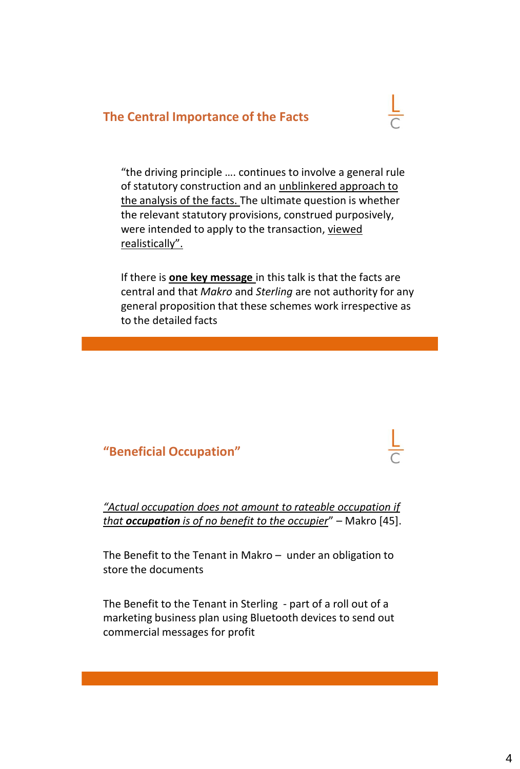### **The Central Importance of the Facts**



"the driving principle …. continues to involve a general rule of statutory construction and an unblinkered approach to the analysis of the facts. The ultimate question is whether the relevant statutory provisions, construed purposively, were intended to apply to the transaction, viewed realistically".

If there is **one key message** in this talk is that the facts are central and that *Makro* and *Sterling* are not authority for any general proposition that these schemes work irrespective as to the detailed facts

### **"Beneficial Occupation"**

*"Actual occupation does not amount to rateable occupation if that occupation is of no benefit to the occupier*" – Makro [45].

The Benefit to the Tenant in Makro – under an obligation to store the documents

The Benefit to the Tenant in Sterling - part of a roll out of a marketing business plan using Bluetooth devices to send out commercial messages for profit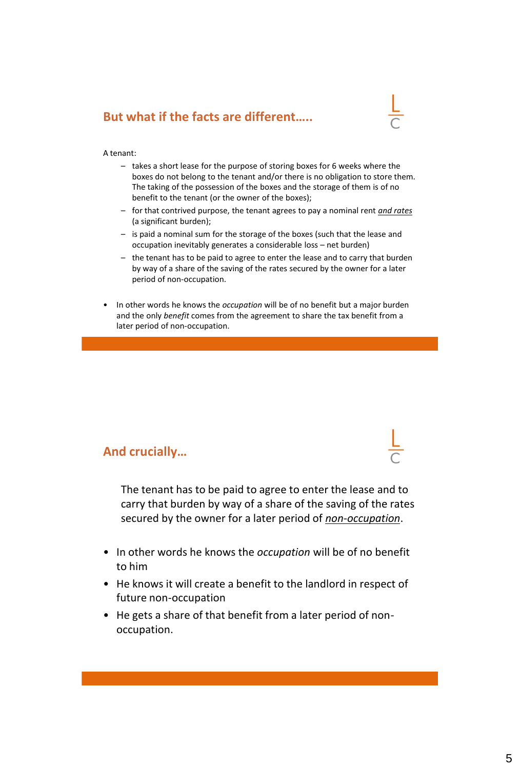## **But what if the facts are different…..**

#### A tenant:

- takes a short lease for the purpose of storing boxes for 6 weeks where the boxes do not belong to the tenant and/or there is no obligation to store them. The taking of the possession of the boxes and the storage of them is of no benefit to the tenant (or the owner of the boxes);
- for that contrived purpose, the tenant agrees to pay a nominal rent *and rates*  (a significant burden);
- is paid a nominal sum for the storage of the boxes (such that the lease and occupation inevitably generates a considerable loss – net burden)
- the tenant has to be paid to agree to enter the lease and to carry that burden by way of a share of the saving of the rates secured by the owner for a later period of non-occupation.
- In other words he knows the *occupation* will be of no benefit but a major burden and the only *benefit* comes from the agreement to share the tax benefit from a later period of non-occupation.

#### **And crucially…**

The tenant has to be paid to agree to enter the lease and to carry that burden by way of a share of the saving of the rates secured by the owner for a later period of *non-occupation*.

- In other words he knows the *occupation* will be of no benefit to him
- He knows it will create a benefit to the landlord in respect of future non-occupation
- He gets a share of that benefit from a later period of nonoccupation.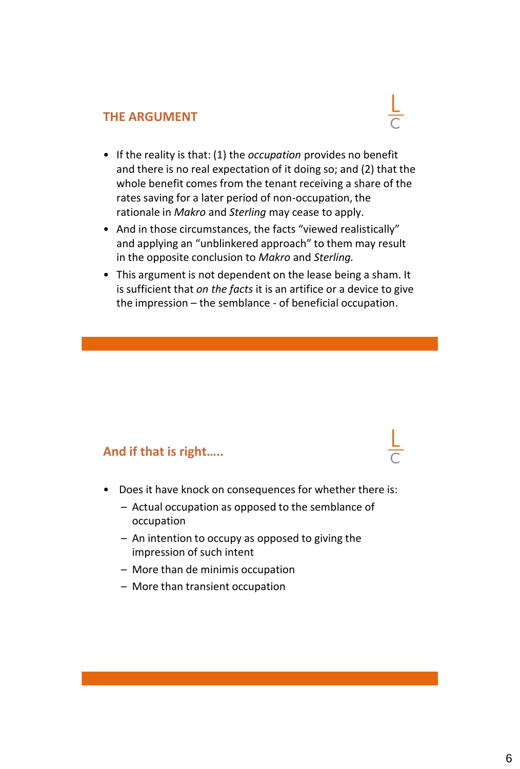#### **THE ARGUMENT**



- And in those circumstances, the facts "viewed realistically" and applying an "unblinkered approach" to them may result in the opposite conclusion to *Makro* and *Sterling.*
- This argument is not dependent on the lease being a sham. It is sufficient that *on the facts* it is an artifice or a device to give the impression – the semblance - of beneficial occupation.

#### **And if that is right…..**

- Does it have knock on consequences for whether there is:
	- Actual occupation as opposed to the semblance of occupation
	- An intention to occupy as opposed to giving the impression of such intent
	- More than de minimis occupation
	- More than transient occupation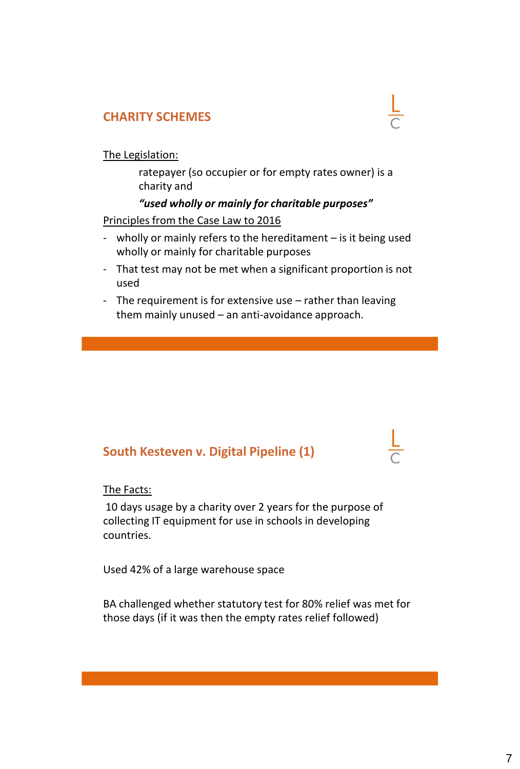## **CHARITY SCHEMES**

#### The Legislation:

ratepayer (so occupier or for empty rates owner) is a charity and

#### *"used wholly or mainly for charitable purposes"*

#### Principles from the Case Law to 2016

- wholly or mainly refers to the hereditament is it being used wholly or mainly for charitable purposes
- That test may not be met when a significant proportion is not used
- The requirement is for extensive use rather than leaving them mainly unused – an anti-avoidance approach.

# **South Kesteven v. Digital Pipeline (1)**

#### The Facts:

10 days usage by a charity over 2 years for the purpose of collecting IT equipment for use in schools in developing countries.

Used 42% of a large warehouse space

BA challenged whether statutory test for 80% relief was met for those days (if it was then the empty rates relief followed)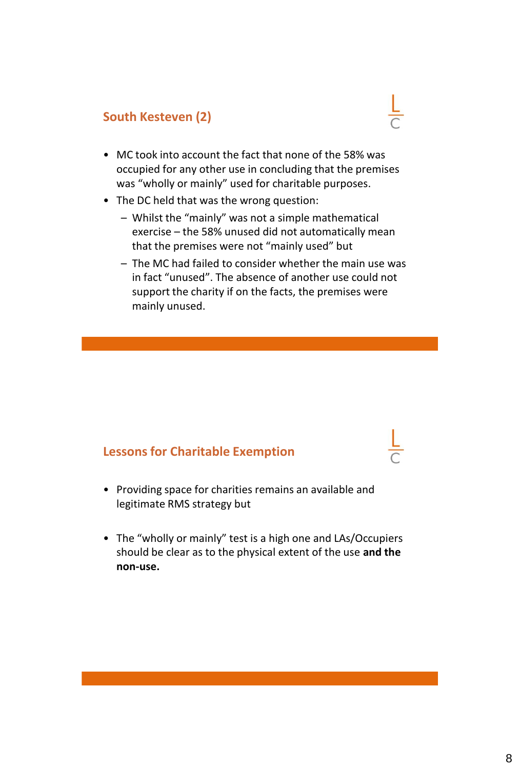# **South Kesteven (2)**

- MC took into account the fact that none of the 58% was occupied for any other use in concluding that the premises was "wholly or mainly" used for charitable purposes.
- The DC held that was the wrong question:
	- Whilst the "mainly" was not a simple mathematical exercise – the 58% unused did not automatically mean that the premises were not "mainly used" but
	- The MC had failed to consider whether the main use was in fact "unused". The absence of another use could not support the charity if on the facts, the premises were mainly unused.

#### **Lessons for Charitable Exemption**

- Providing space for charities remains an available and legitimate RMS strategy but
- The "wholly or mainly" test is a high one and LAs/Occupiers should be clear as to the physical extent of the use **and the non-use.**